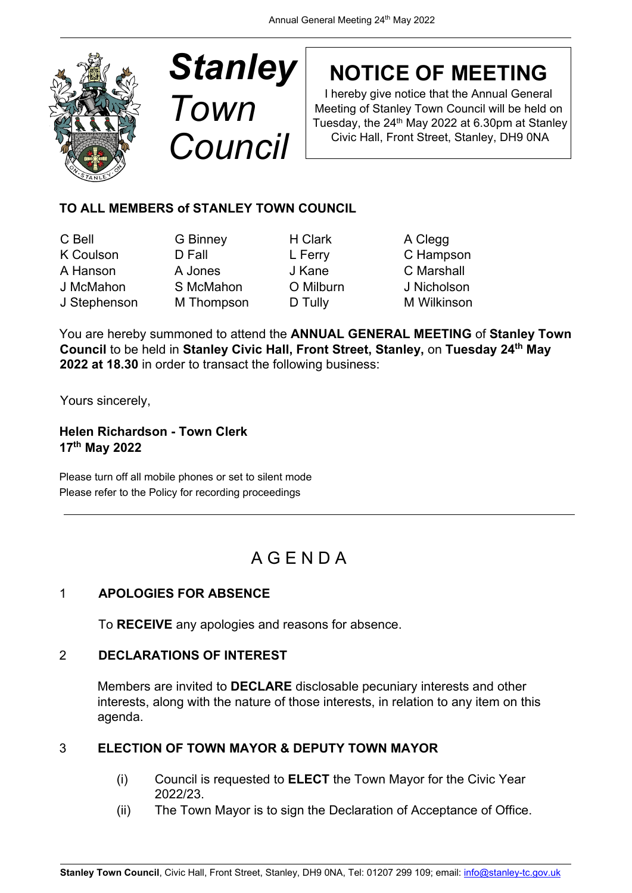

# *Stanley Town Council*

## **NOTICE OF MEETING**

I hereby give notice that the Annual General Meeting of Stanley Town Council will be held on Tuesday, the  $24<sup>th</sup>$  May 2022 at 6.30pm at Stanley Civic Hall, Front Street, Stanley, DH9 0NA

### **TO ALL MEMBERS of STANLEY TOWN COUNCIL**

C Bell G Binney H Clark A Clegg K Coulson **D Fall L Ferry C Hampson** A Hanson A Jones J Kane C Marshall J McMahon S McMahon O Milburn J Nicholson

J Stephenson M Thompson D Tully M Wilkinson

You are hereby summoned to attend the **ANNUAL GENERAL MEETING** of **Stanley Town Council** to be held in **Stanley Civic Hall, Front Street, Stanley,** on **Tuesday 24th May 2022 at 18.30** in order to transact the following business:

Yours sincerely,

**Helen Richardson - Town Clerk 17th May 2022** 

Please turn off all mobile phones or set to silent mode Please refer to the Policy for recording proceedings

### A G E N D A

#### 1 **APOLOGIES FOR ABSENCE**

To **RECEIVE** any apologies and reasons for absence.

#### 2 **DECLARATIONS OF INTEREST**

Members are invited to **DECLARE** disclosable pecuniary interests and other interests, along with the nature of those interests, in relation to any item on this agenda.

### 3 **ELECTION OF TOWN MAYOR & DEPUTY TOWN MAYOR**

- (i) Council is requested to **ELECT** the Town Mayor for the Civic Year 2022/23.
- (ii) The Town Mayor is to sign the Declaration of Acceptance of Office.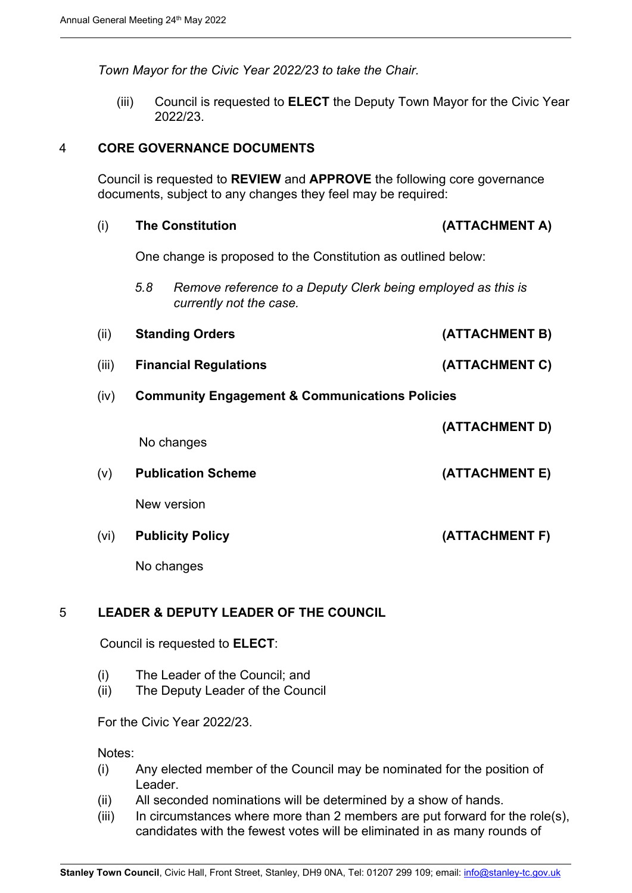*Town Mayor for the Civic Year 2022/23 to take the Chair.* 

(iii) Council is requested to **ELECT** the Deputy Town Mayor for the Civic Year 2022/23.

#### 4 **CORE GOVERNANCE DOCUMENTS**

Council is requested to **REVIEW** and **APPROVE** the following core governance documents, subject to any changes they feel may be required:

#### (i) **The Constitution (ATTACHMENT A)**

One change is proposed to the Constitution as outlined below:

- *5.8 Remove reference to a Deputy Clerk being employed as this is currently not the case.*
- (ii) **Standing Orders (ATTACHMENT B)**
- (iii) **Financial Regulations (ATTACHMENT C)**
- (iv) **Community Engagement & Communications Policies**

|      | No changes                | (ATTACHMENT D) |
|------|---------------------------|----------------|
| (v)  | <b>Publication Scheme</b> | (ATTACHMENT E) |
|      | New version               |                |
| (vi) | <b>Publicity Policy</b>   | (ATTACHMENT F) |
|      | No changes                |                |

#### 5 **LEADER & DEPUTY LEADER OF THE COUNCIL**

Council is requested to **ELECT**:

- (i) The Leader of the Council; and
- (ii) The Deputy Leader of the Council

For the Civic Year 2022/23.

Notes:

- (i) Any elected member of the Council may be nominated for the position of Leader.
- (ii) All seconded nominations will be determined by a show of hands.
- (iii) In circumstances where more than 2 members are put forward for the role(s), candidates with the fewest votes will be eliminated in as many rounds of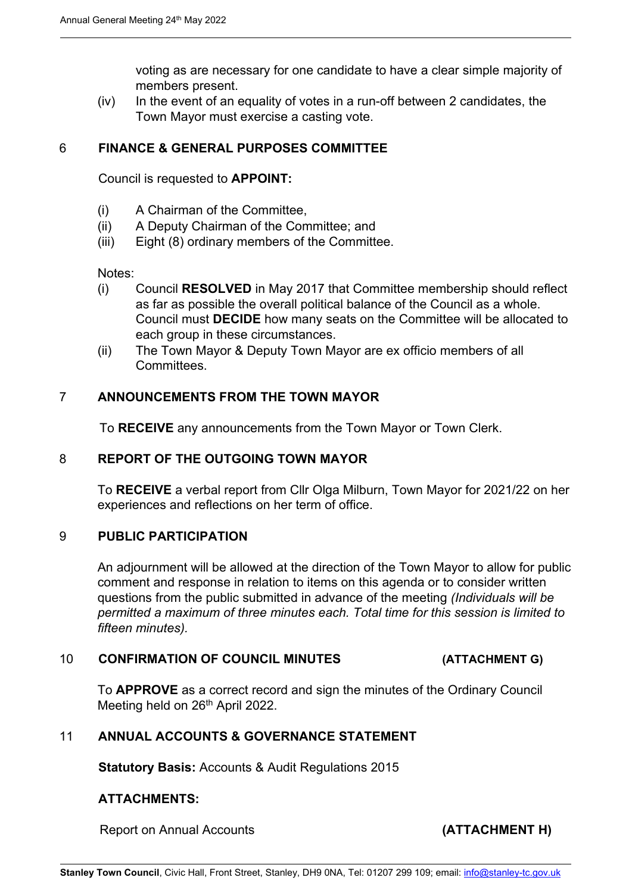voting as are necessary for one candidate to have a clear simple majority of members present.

 $(iv)$  In the event of an equality of votes in a run-off between 2 candidates, the Town Mayor must exercise a casting vote.

#### 6 **FINANCE & GENERAL PURPOSES COMMITTEE**

Council is requested to **APPOINT:** 

- (i) A Chairman of the Committee,
- (ii) A Deputy Chairman of the Committee; and
- (iii) Eight (8) ordinary members of the Committee.

Notes:

- (i) Council **RESOLVED** in May 2017 that Committee membership should reflect as far as possible the overall political balance of the Council as a whole. Council must **DECIDE** how many seats on the Committee will be allocated to each group in these circumstances.
- (ii) The Town Mayor & Deputy Town Mayor are ex officio members of all **Committees**

#### 7 **ANNOUNCEMENTS FROM THE TOWN MAYOR**

To **RECEIVE** any announcements from the Town Mayor or Town Clerk.

#### 8 **REPORT OF THE OUTGOING TOWN MAYOR**

To **RECEIVE** a verbal report from Cllr Olga Milburn, Town Mayor for 2021/22 on her experiences and reflections on her term of office.

#### 9 **PUBLIC PARTICIPATION**

An adjournment will be allowed at the direction of the Town Mayor to allow for public comment and response in relation to items on this agenda or to consider written questions from the public submitted in advance of the meeting *(Individuals will be permitted a maximum of three minutes each. Total time for this session is limited to fifteen minutes).* 

#### 10 **CONFIRMATION OF COUNCIL MINUTES (ATTACHMENT G)**

To **APPROVE** as a correct record and sign the minutes of the Ordinary Council Meeting held on 26<sup>th</sup> April 2022.

#### 11 **ANNUAL ACCOUNTS & GOVERNANCE STATEMENT**

**Statutory Basis:** Accounts & Audit Regulations 2015

#### **ATTACHMENTS:**

Report on Annual Accounts **(ATTACHMENT H)**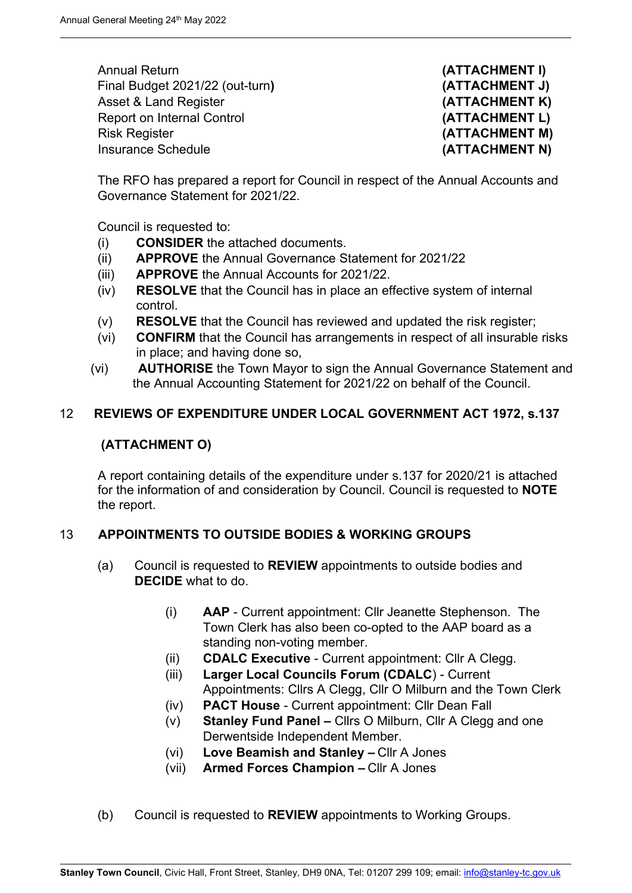Annual Return **(ATTACHMENT I)** Final Budget 2021/22 (out-turn**) (ATTACHMENT J)** Asset & Land Register **(ATTACHMENT K)** Report on Internal Control **(ATTACHMENT L)** Risk Register **(ATTACHMENT M) Insurance Schedule (ATTACHMENT N)** 

The RFO has prepared a report for Council in respect of the Annual Accounts and Governance Statement for 2021/22.

Council is requested to:

- (i) **CONSIDER** the attached documents.
- (ii) **APPROVE** the Annual Governance Statement for 2021/22
- (iii) **APPROVE** the Annual Accounts for 2021/22.
- (iv) **RESOLVE** that the Council has in place an effective system of internal control.
- (v) **RESOLVE** that the Council has reviewed and updated the risk register;
- (vi) **CONFIRM** that the Council has arrangements in respect of all insurable risks in place; and having done so,
- (vi) **AUTHORISE** the Town Mayor to sign the Annual Governance Statement and the Annual Accounting Statement for 2021/22 on behalf of the Council.

#### 12 **REVIEWS OF EXPENDITURE UNDER LOCAL GOVERNMENT ACT 1972, s.137**

#### **(ATTACHMENT O)**

A report containing details of the expenditure under s.137 for 2020/21 is attached for the information of and consideration by Council. Council is requested to **NOTE** the report.

#### 13 **APPOINTMENTS TO OUTSIDE BODIES & WORKING GROUPS**

- (a) Council is requested to **REVIEW** appointments to outside bodies and **DECIDE** what to do.
	- (i) **AAP** Current appointment: Cllr Jeanette Stephenson. The Town Clerk has also been co-opted to the AAP board as a standing non-voting member.
	- (ii) **CDALC Executive** Current appointment: Cllr A Clegg.
	- (iii) **Larger Local Councils Forum (CDALC**) Current Appointments: Cllrs A Clegg, Cllr O Milburn and the Town Clerk
	- (iv) **PACT House** Current appointment: Cllr Dean Fall
	- (v) **Stanley Fund Panel** Cllrs O Milburn, Cllr A Clegg and one Derwentside Independent Member.
	- (vi) **Love Beamish and Stanley –** Cllr A Jones
	- (vii) **Armed Forces Champion –** Cllr A Jones
- (b) Council is requested to **REVIEW** appointments to Working Groups.